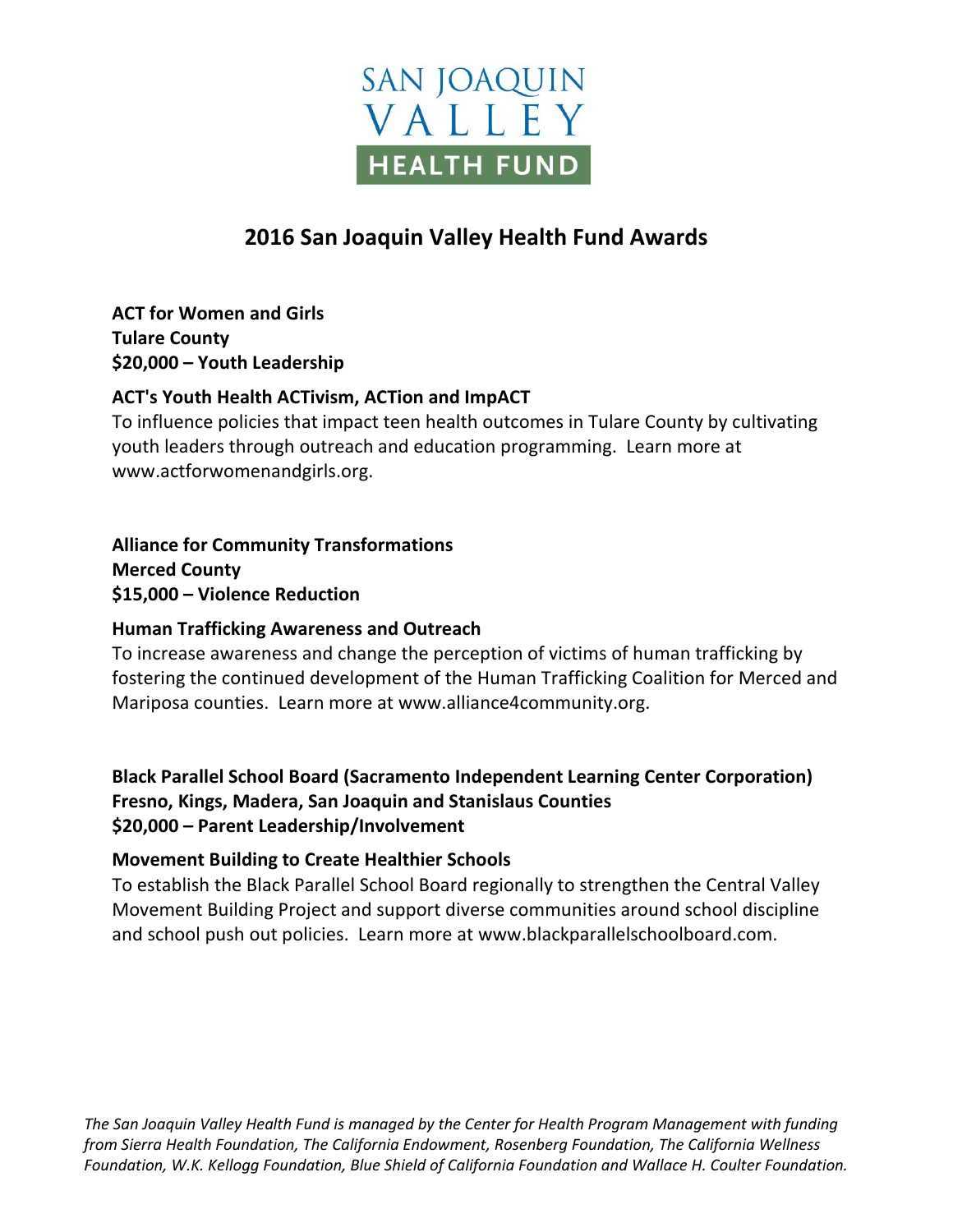# **SAN JOAQUIN** VALLEY **HEALTH FUND**

## **2016 San Joaquin Valley Health Fund Awards**

**ACT for Women and Girls Tulare County \$20,000 – Youth Leadership**

## **ACT's Youth Health ACTivism, ACTion and ImpACT**

To influence policies that impact teen health outcomes in Tulare County by cultivating youth leaders through outreach and education programming.Learn more at www.actforwomenandgirls.org.

**Alliance for Community Transformations Merced County \$15,000 – Violence Reduction**

#### **Human Trafficking Awareness and Outreach**

To increase awareness and change the perception of victims of human trafficking by fostering the continued development of the Human Trafficking Coalition for Merced and Mariposa counties. Learn more at www.alliance4community.org.

**Black Parallel School Board (Sacramento Independent Learning Center Corporation) Fresno, Kings, Madera, San Joaquin and Stanislaus Counties \$20,000 – Parent Leadership/Involvement**

#### **Movement Building to Create Healthier Schools**

To establish the Black Parallel School Board regionally to strengthen the Central Valley Movement Building Project and support diverse communities around school discipline and school push out policies. Learn more at www.blackparallelschoolboard.com.

*The San Joaquin Valley Health Fund is managed by the Center for Health Program Management with funding from Sierra Health Foundation, The California Endowment, Rosenberg Foundation, The California Wellness Foundation, W.K. Kellogg Foundation, Blue Shield of California Foundation and Wallace H. Coulter Foundation.*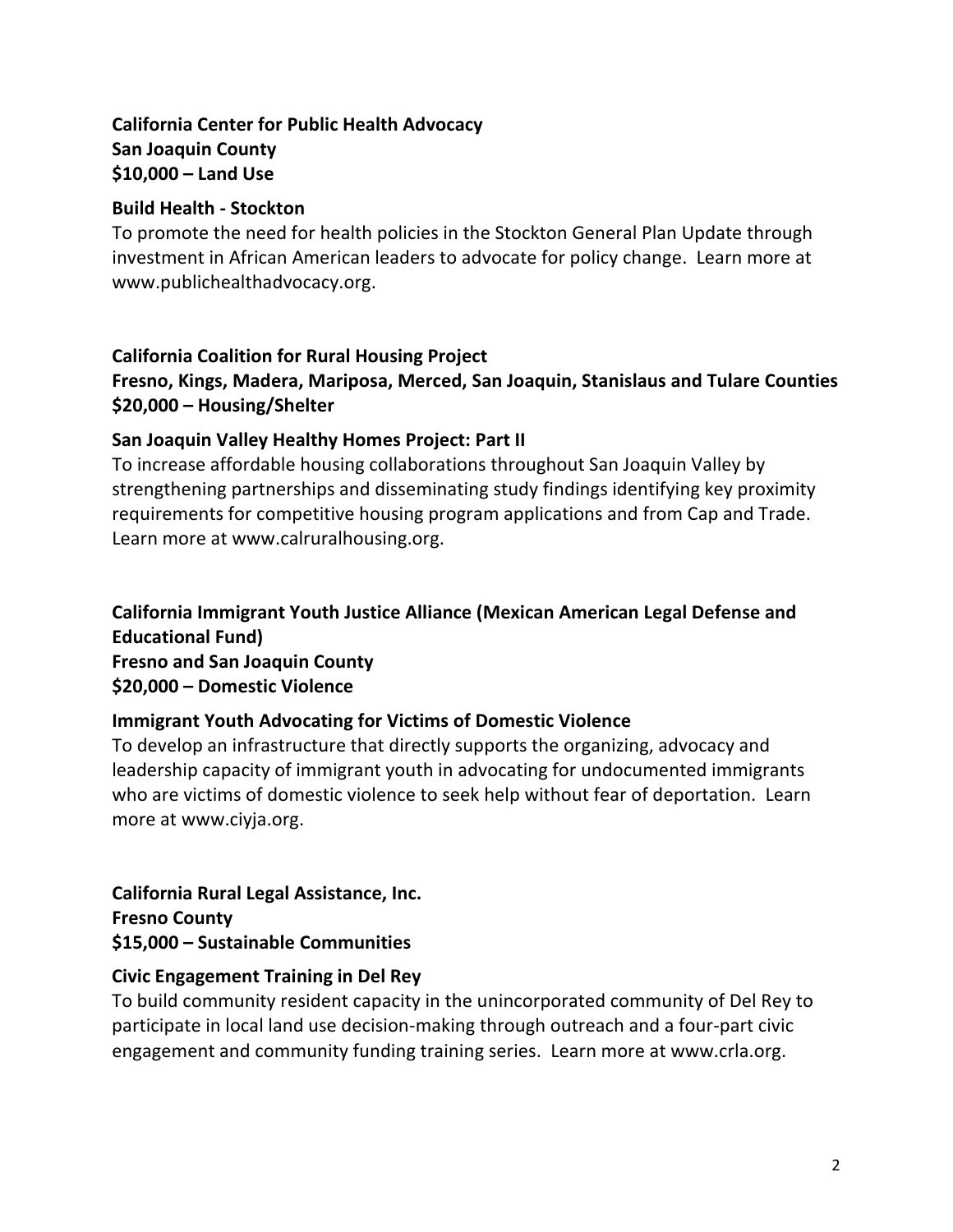## **California Center for Public Health Advocacy San Joaquin County \$10,000 – Land Use**

#### **Build Health - Stockton**

To promote the need for health policies in the Stockton General Plan Update through investment in African American leaders to advocate for policy change. Learn more at www.publichealthadvocacy.org.

## **California Coalition for Rural Housing Project**

## **Fresno, Kings, Madera, Mariposa, Merced, San Joaquin, Stanislaus and Tulare Counties \$20,000 – Housing/Shelter**

## **San Joaquin Valley Healthy Homes Project: Part II**

To increase affordable housing collaborations throughout San Joaquin Valley by strengthening partnerships and disseminating study findings identifying key proximity requirements for competitive housing program applications and from Cap and Trade. Learn more at www.calruralhousing.org.

## **California Immigrant Youth Justice Alliance (Mexican American Legal Defense and Educational Fund)**

**Fresno and San Joaquin County \$20,000 – Domestic Violence**

## **Immigrant Youth Advocating for Victims of Domestic Violence**

To develop an infrastructure that directly supports the organizing, advocacy and leadership capacity of immigrant youth in advocating for undocumented immigrants who are victims of domestic violence to seek help without fear of deportation. Learn more at www.ciyja.org.

**California Rural Legal Assistance, Inc. Fresno County \$15,000 – Sustainable Communities**

#### **Civic Engagement Training in Del Rey**

To build community resident capacity in the unincorporated community of Del Rey to participate in local land use decision-making through outreach and a four-part civic engagement and community funding training series. Learn more at www.crla.org.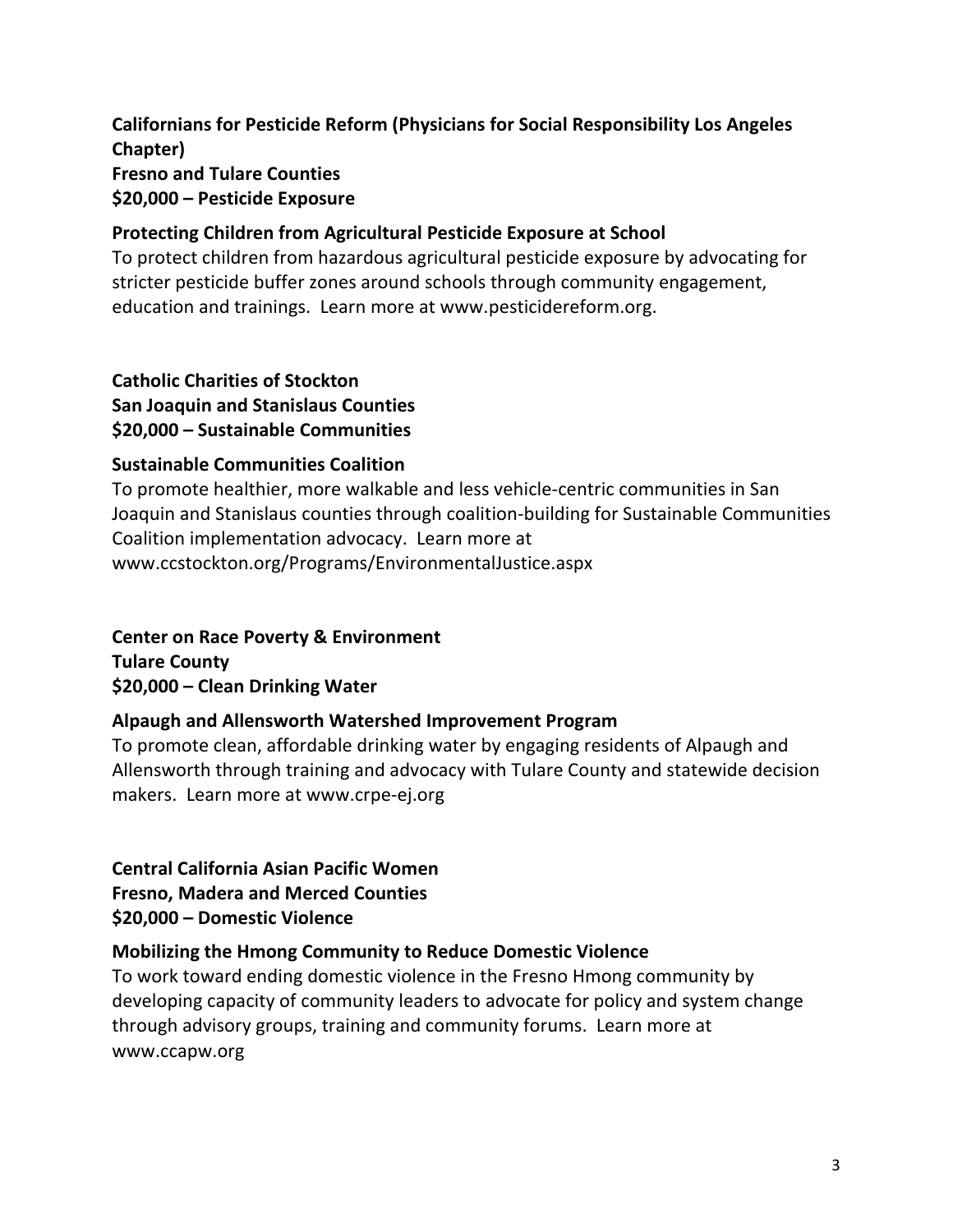## **Californians for Pesticide Reform (Physicians for Social Responsibility Los Angeles Chapter) Fresno and Tulare Counties \$20,000 – Pesticide Exposure**

#### **Protecting Children from Agricultural Pesticide Exposure at School**

To protect children from hazardous agricultural pesticide exposure by advocating for stricter pesticide buffer zones around schools through community engagement, education and trainings. Learn more at www.pesticidereform.org.

#### **Catholic Charities of Stockton San Joaquin and Stanislaus Counties \$20,000 – Sustainable Communities**

#### **Sustainable Communities Coalition**

To promote healthier, more walkable and less vehicle-centric communities in San Joaquin and Stanislaus counties through coalition-building for Sustainable Communities Coalition implementation advocacy. Learn more at www.ccstockton.org/Programs/EnvironmentalJustice.aspx

## **Center on Race Poverty & Environment**

**Tulare County \$20,000 – Clean Drinking Water**

#### **Alpaugh and Allensworth Watershed Improvement Program**

To promote clean, affordable drinking water by engaging residents of Alpaugh and Allensworth through training and advocacy with Tulare County and statewide decision makers. Learn more at www.crpe-ej.org

## **Central California Asian Pacific Women Fresno, Madera and Merced Counties \$20,000 – Domestic Violence**

#### **Mobilizing the Hmong Community to Reduce Domestic Violence**

To work toward ending domestic violence in the Fresno Hmong community by developing capacity of community leaders to advocate for policy and system change through advisory groups, training and community forums. Learn more at www.ccapw.org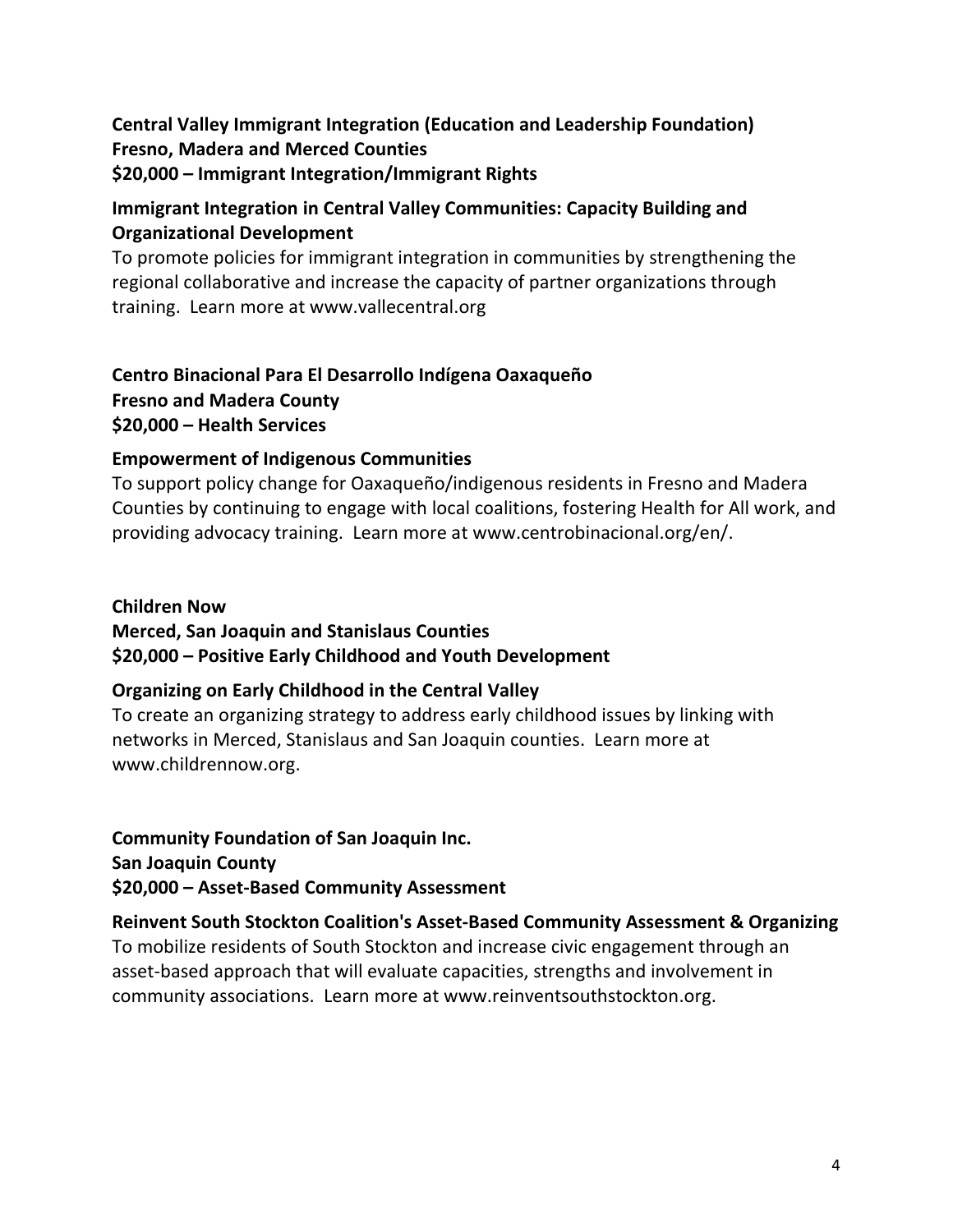## **Central Valley Immigrant Integration (Education and Leadership Foundation) Fresno, Madera and Merced Counties \$20,000 – Immigrant Integration/Immigrant Rights**

## **Immigrant Integration in Central Valley Communities: Capacity Building and Organizational Development**

To promote policies for immigrant integration in communities by strengthening the regional collaborative and increase the capacity of partner organizations through training. Learn more at www.vallecentral.org

## **Centro Binacional Para El Desarrollo Indígena Oaxaqueño Fresno and Madera County \$20,000 – Health Services**

## **Empowerment of Indigenous Communities**

To support policy change for Oaxaqueño/indigenous residents in Fresno and Madera Counties by continuing to engage with local coalitions, fostering Health for All work, and providing advocacy training. Learn more at www.centrobinacional.org/en/.

## **Children Now Merced, San Joaquin and Stanislaus Counties \$20,000 – Positive Early Childhood and Youth Development**

#### **Organizing on Early Childhood in the Central Valley**

To create an organizing strategy to address early childhood issues by linking with networks in Merced, Stanislaus and San Joaquin counties. Learn more at www.childrennow.org.

**Community Foundation of San Joaquin Inc. San Joaquin County \$20,000 – Asset-Based Community Assessment**

**Reinvent South Stockton Coalition's Asset-Based Community Assessment & Organizing** To mobilize residents of South Stockton and increase civic engagement through an asset-based approach that will evaluate capacities, strengths and involvement in community associations. Learn more at www.reinventsouthstockton.org.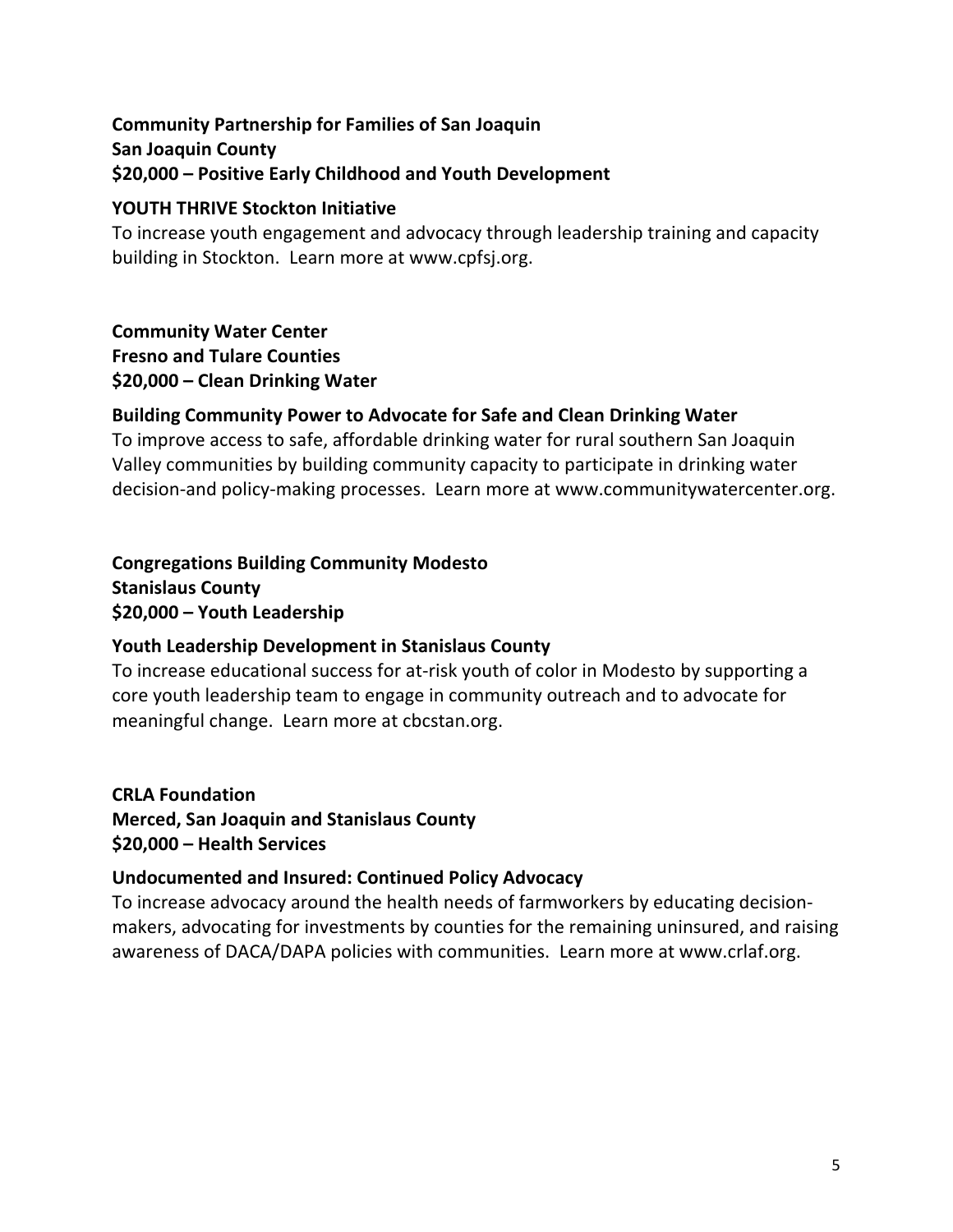## **Community Partnership for Families of San Joaquin San Joaquin County \$20,000 – Positive Early Childhood and Youth Development**

#### **YOUTH THRIVE Stockton Initiative**

To increase youth engagement and advocacy through leadership training and capacity building in Stockton. Learn more at www.cpfsj.org.

#### **Community Water Center Fresno and Tulare Counties \$20,000 – Clean Drinking Water**

## **Building Community Power to Advocate for Safe and Clean Drinking Water**

To improve access to safe, affordable drinking water for rural southern San Joaquin Valley communities by building community capacity to participate in drinking water decision-and policy-making processes. Learn more at www.communitywatercenter.org.

**Congregations Building Community Modesto Stanislaus County \$20,000 – Youth Leadership**

## **Youth Leadership Development in Stanislaus County**

To increase educational success for at-risk youth of color in Modesto by supporting a core youth leadership team to engage in community outreach and to advocate for meaningful change. Learn more at cbcstan.org.

**CRLA Foundation Merced, San Joaquin and Stanislaus County \$20,000 – Health Services**

## **Undocumented and Insured: Continued Policy Advocacy**

To increase advocacy around the health needs of farmworkers by educating decisionmakers, advocating for investments by counties for the remaining uninsured, and raising awareness of DACA/DAPA policies with communities. Learn more at www.crlaf.org.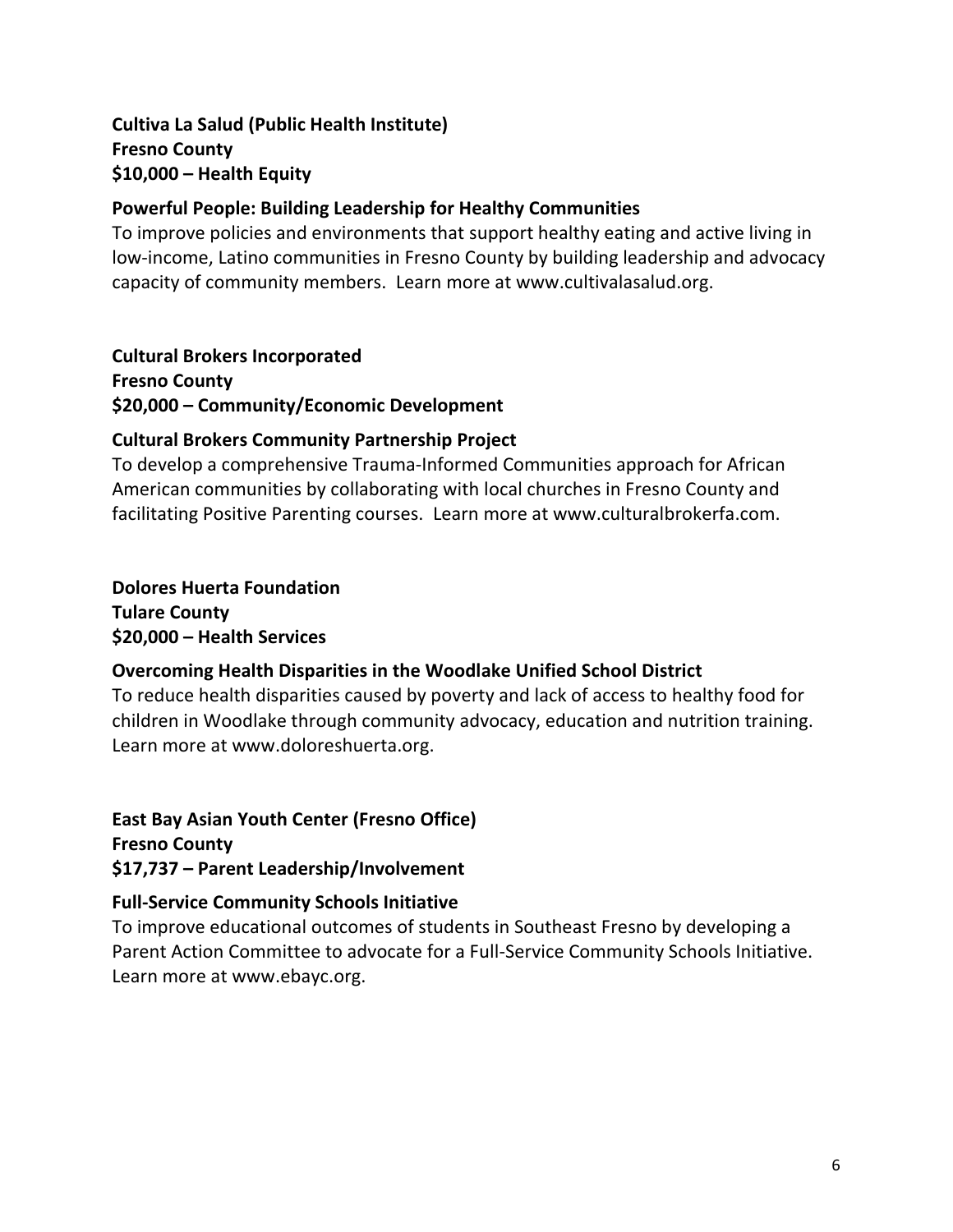## **Cultiva La Salud (Public Health Institute) Fresno County \$10,000 – Health Equity**

## **Powerful People: Building Leadership for Healthy Communities**

To improve policies and environments that support healthy eating and active living in low-income, Latino communities in Fresno County by building leadership and advocacy capacity of community members. Learn more at www.cultivalasalud.org.

#### **Cultural Brokers Incorporated**

**Fresno County \$20,000 – Community/Economic Development**

## **Cultural Brokers Community Partnership Project**

To develop a comprehensive Trauma-Informed Communities approach for African American communities by collaborating with local churches in Fresno County and facilitating Positive Parenting courses. Learn more at www.culturalbrokerfa.com.

#### **Dolores Huerta Foundation Tulare County \$20,000 – Health Services**

## **Overcoming Health Disparities in the Woodlake Unified School District**

To reduce health disparities caused by poverty and lack of access to healthy food for children in Woodlake through community advocacy, education and nutrition training. Learn more at www.doloreshuerta.org.

**East Bay Asian Youth Center (Fresno Office) Fresno County \$17,737 – Parent Leadership/Involvement**

#### **Full-Service Community Schools Initiative**

To improve educational outcomes of students in Southeast Fresno by developing a Parent Action Committee to advocate for a Full-Service Community Schools Initiative. Learn more at www.ebayc.org.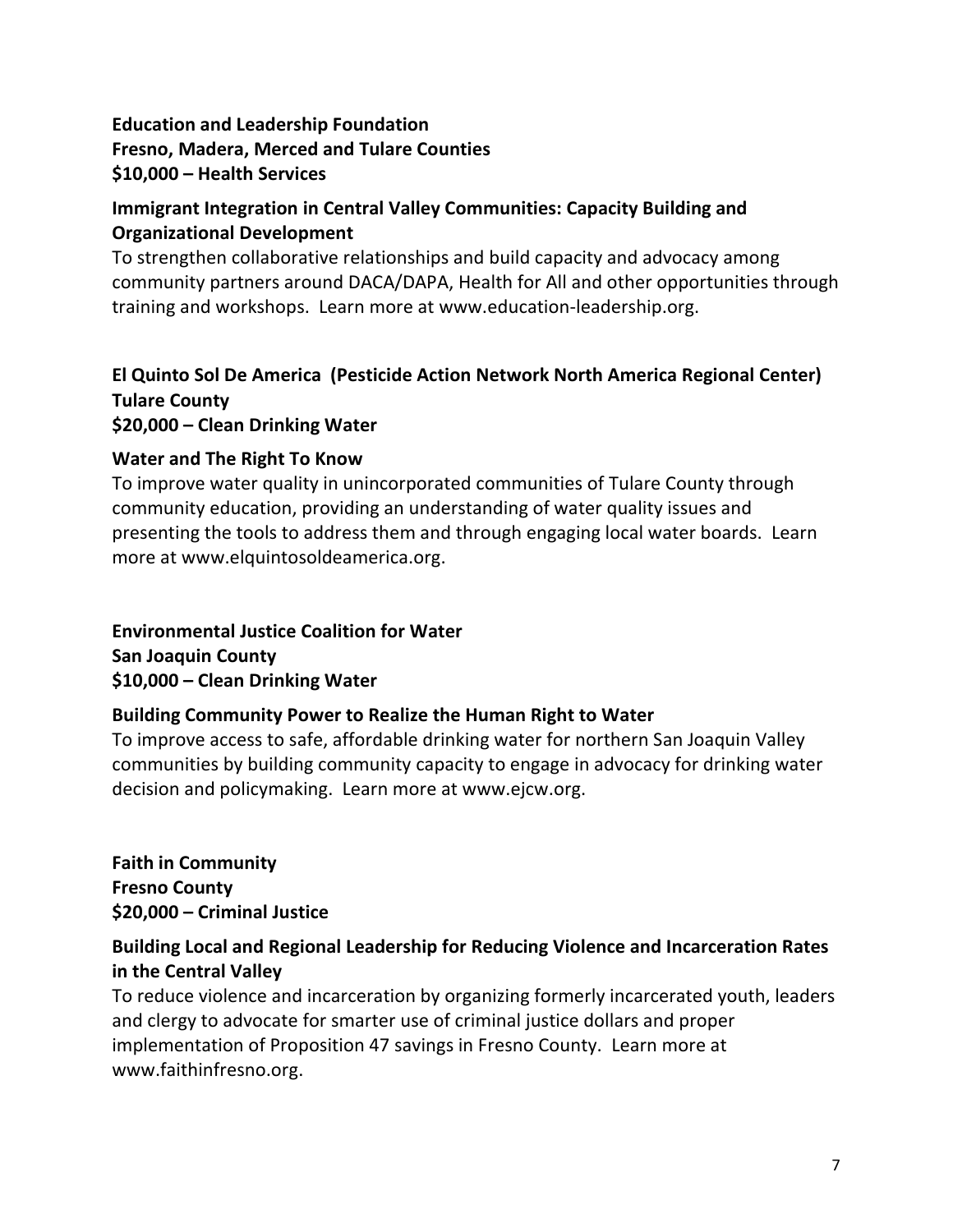## **Education and Leadership Foundation Fresno, Madera, Merced and Tulare Counties \$10,000 – Health Services**

## **Immigrant Integration in Central Valley Communities: Capacity Building and Organizational Development**

To strengthen collaborative relationships and build capacity and advocacy among community partners around DACA/DAPA, Health for All and other opportunities through training and workshops. Learn more at www.education-leadership.org.

## **El Quinto Sol De America (Pesticide Action Network North America Regional Center) Tulare County \$20,000 – Clean Drinking Water**

## **Water and The Right To Know**

To improve water quality in unincorporated communities of Tulare County through community education, providing an understanding of water quality issues and presenting the tools to address them and through engaging local water boards. Learn more at www.elquintosoldeamerica.org.

#### **Environmental Justice Coalition for Water San Joaquin County \$10,000 – Clean Drinking Water**

## **Building Community Power to Realize the Human Right to Water**

To improve access to safe, affordable drinking water for northern San Joaquin Valley communities by building community capacity to engage in advocacy for drinking water decision and policymaking. Learn more at www.ejcw.org.

**Faith in Community Fresno County \$20,000 – Criminal Justice**

## **Building Local and Regional Leadership for Reducing Violence and Incarceration Rates in the Central Valley**

To reduce violence and incarceration by organizing formerly incarcerated youth, leaders and clergy to advocate for smarter use of criminal justice dollars and proper implementation of Proposition 47 savings in Fresno County. Learn more at www.faithinfresno.org.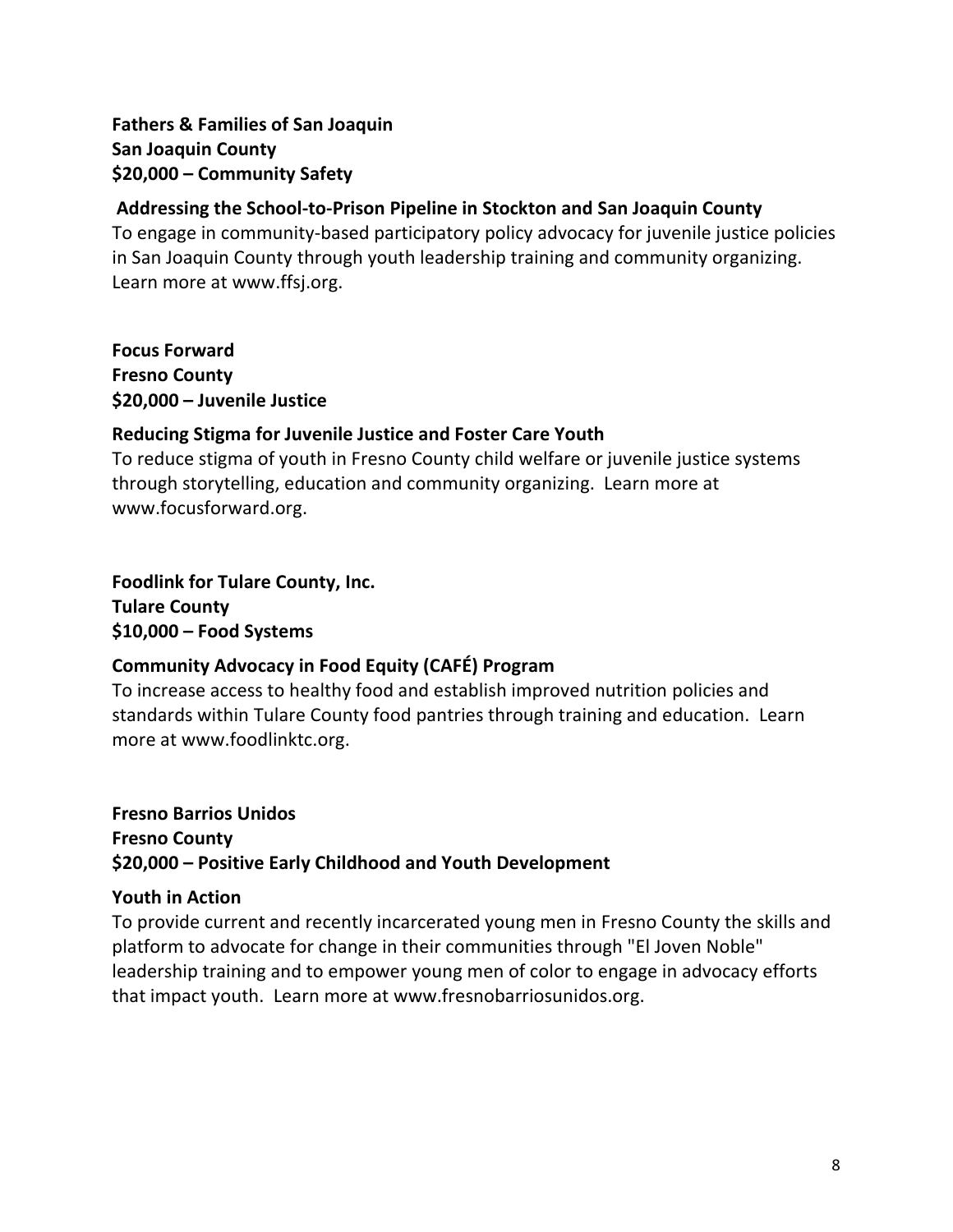## **Fathers & Families of San Joaquin San Joaquin County \$20,000 – Community Safety**

#### **Addressing the School-to-Prison Pipeline in Stockton and San Joaquin County**

To engage in community-based participatory policy advocacy for juvenile justice policies in San Joaquin County through youth leadership training and community organizing. Learn more at www.ffsj.org.

**Focus Forward Fresno County \$20,000 – Juvenile Justice**

## **Reducing Stigma for Juvenile Justice and Foster Care Youth**

To reduce stigma of youth in Fresno County child welfare or juvenile justice systems through storytelling, education and community organizing. Learn more at www.focusforward.org.

**Foodlink for Tulare County, Inc. Tulare County \$10,000 – Food Systems**

## **Community Advocacy in Food Equity (CAFÉ) Program**

To increase access to healthy food and establish improved nutrition policies and standards within Tulare County food pantries through training and education. Learn more at www.foodlinktc.org.

## **Fresno Barrios Unidos Fresno County \$20,000 – Positive Early Childhood and Youth Development**

#### **Youth in Action**

To provide current and recently incarcerated young men in Fresno County the skills and platform to advocate for change in their communities through "El Joven Noble" leadership training and to empower young men of color to engage in advocacy efforts that impact youth. Learn more at www.fresnobarriosunidos.org.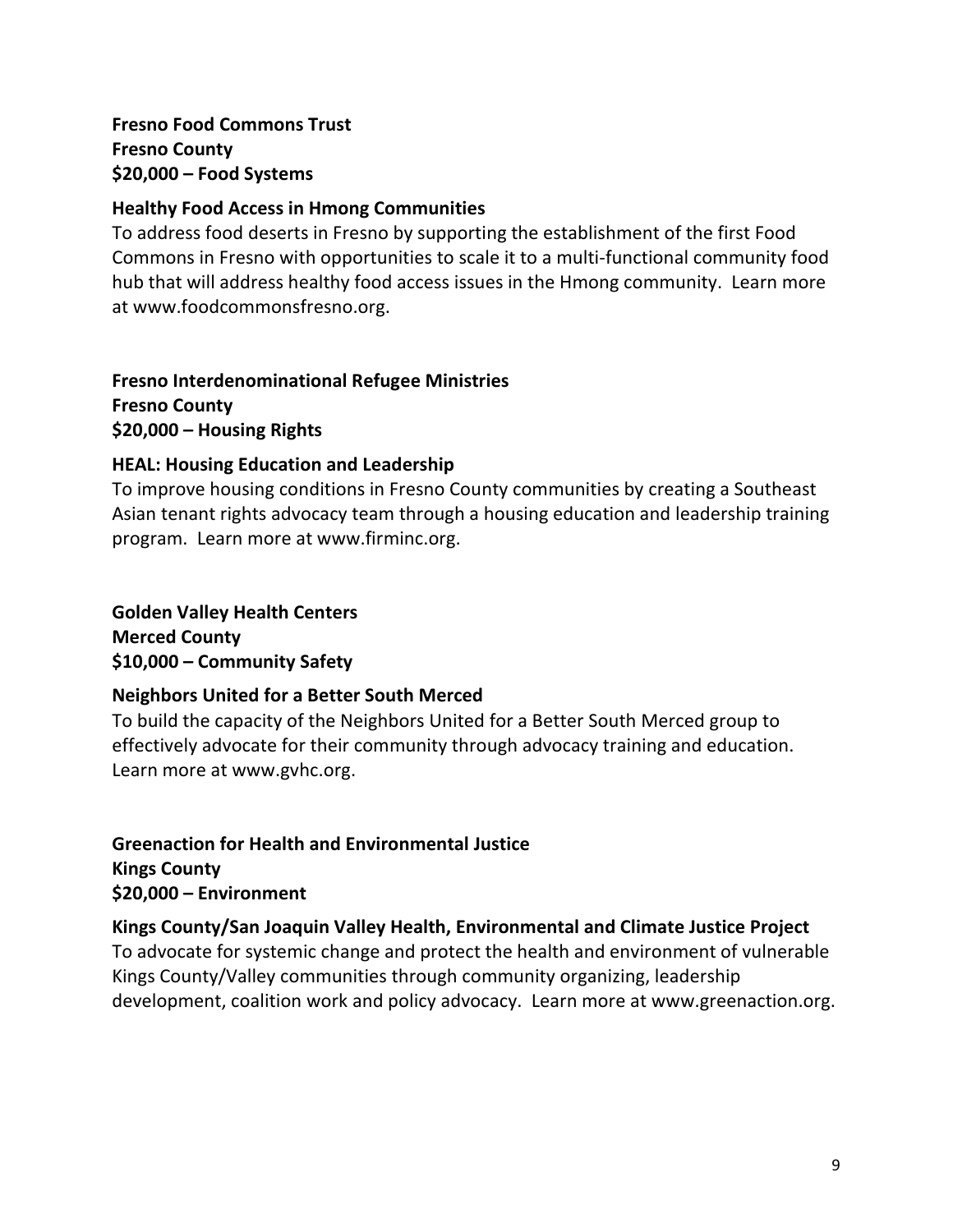## **Fresno Food Commons Trust Fresno County \$20,000 – Food Systems**

#### **Healthy Food Access in Hmong Communities**

To address food deserts in Fresno by supporting the establishment of the first Food Commons in Fresno with opportunities to scale it to a multi-functional community food hub that will address healthy food access issues in the Hmong community. Learn more at www.foodcommonsfresno.org.

#### **Fresno Interdenominational Refugee Ministries Fresno County \$20,000 – Housing Rights**

## **HEAL: Housing Education and Leadership**

To improve housing conditions in Fresno County communities by creating a Southeast Asian tenant rights advocacy team through a housing education and leadership training program. Learn more at www.firminc.org.

#### **Golden Valley Health Centers Merced County \$10,000 – Community Safety**

#### **Neighbors United for a Better South Merced**

To build the capacity of the Neighbors United for a Better South Merced group to effectively advocate for their community through advocacy training and education. Learn more at www.gvhc.org.

## **Greenaction for Health and Environmental Justice Kings County \$20,000 – Environment**

#### **Kings County/San Joaquin Valley Health, Environmental and Climate Justice Project** To advocate for systemic change and protect the health and environment of vulnerable Kings County/Valley communities through community organizing, leadership development, coalition work and policy advocacy. Learn more at www.greenaction.org.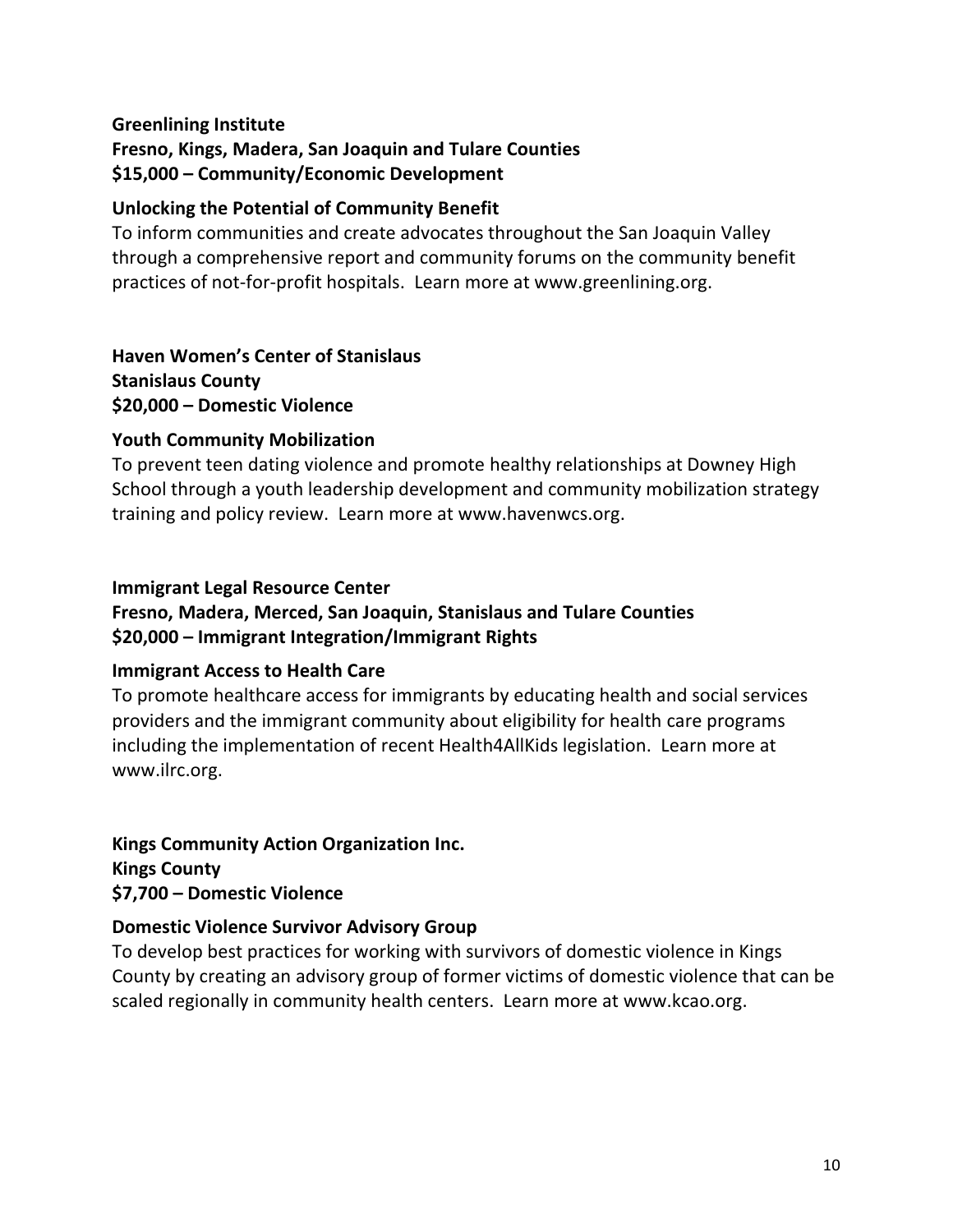#### **Greenlining Institute**

**Fresno, Kings, Madera, San Joaquin and Tulare Counties \$15,000 – Community/Economic Development**

#### **Unlocking the Potential of Community Benefit**

To inform communities and create advocates throughout the San Joaquin Valley through a comprehensive report and community forums on the community benefit practices of not-for-profit hospitals. Learn more at www.greenlining.org.

## **Haven Women's Center of Stanislaus**

**Stanislaus County \$20,000 – Domestic Violence**

#### **Youth Community Mobilization**

To prevent teen dating violence and promote healthy relationships at Downey High School through a youth leadership development and community mobilization strategy training and policy review. Learn more at www.havenwcs.org.

#### **Immigrant Legal Resource Center**

## **Fresno, Madera, Merced, San Joaquin, Stanislaus and Tulare Counties \$20,000 – Immigrant Integration/Immigrant Rights**

#### **Immigrant Access to Health Care**

To promote healthcare access for immigrants by educating health and social services providers and the immigrant community about eligibility for health care programs including the implementation of recent Health4AllKids legislation. Learn more at www.ilrc.org.

## **Kings Community Action Organization Inc.**

**Kings County \$7,700 – Domestic Violence**

#### **Domestic Violence Survivor Advisory Group**

To develop best practices for working with survivors of domestic violence in Kings County by creating an advisory group of former victims of domestic violence that can be scaled regionally in community health centers. Learn more at www.kcao.org.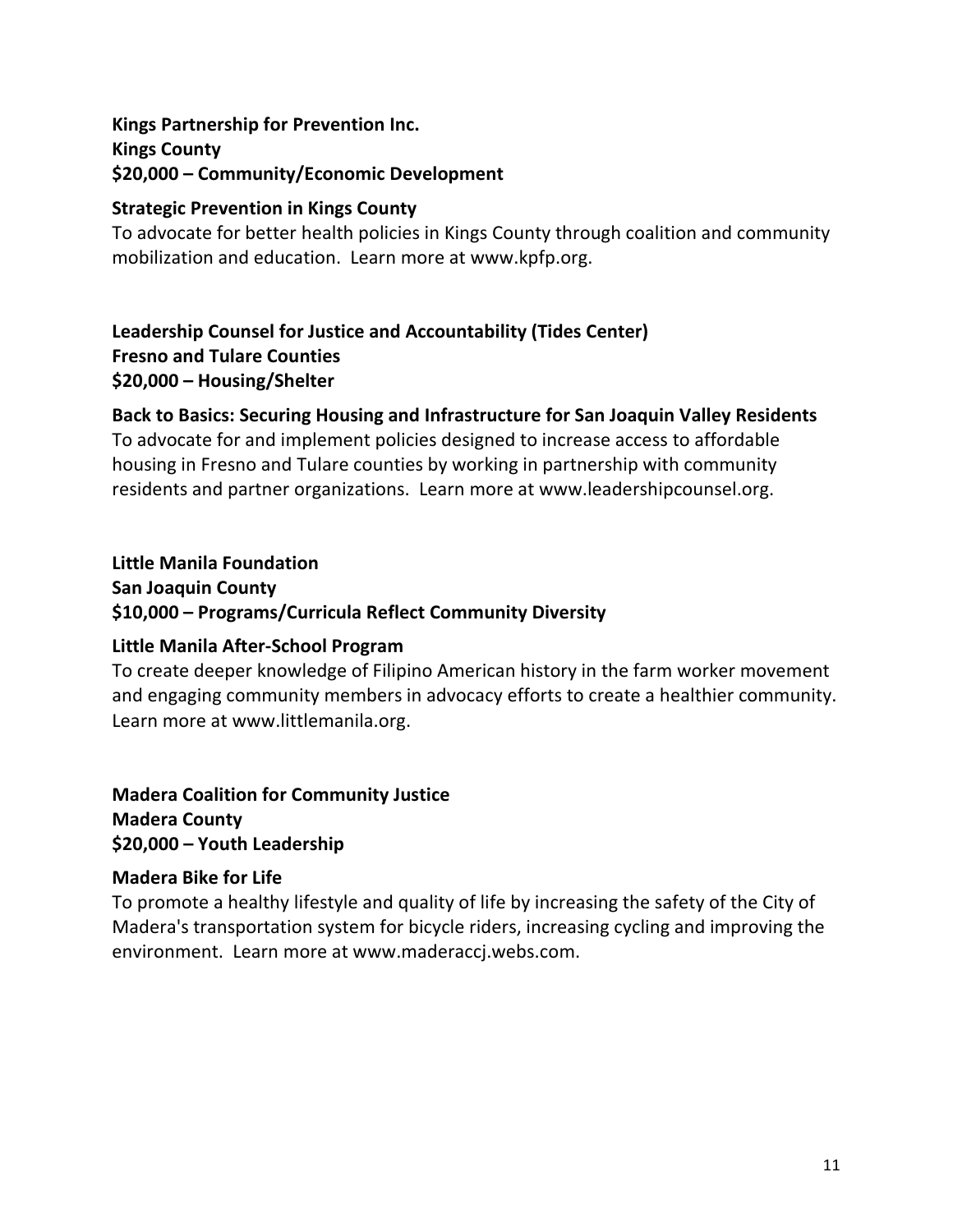## **Kings Partnership for Prevention Inc. Kings County \$20,000 – Community/Economic Development**

## **Strategic Prevention in Kings County**

To advocate for better health policies in Kings County through coalition and community mobilization and education. Learn more at www.kpfp.org.

## **Leadership Counsel for Justice and Accountability (Tides Center) Fresno and Tulare Counties \$20,000 – Housing/Shelter**

## **Back to Basics: Securing Housing and Infrastructure for San Joaquin Valley Residents**

To advocate for and implement policies designed to increase access to affordable housing in Fresno and Tulare counties by working in partnership with community residents and partner organizations. Learn more at www.leadershipcounsel.org.

#### **Little Manila Foundation**

**San Joaquin County \$10,000 – Programs/Curricula Reflect Community Diversity**

#### **Little Manila After-School Program**

To create deeper knowledge of Filipino American history in the farm worker movement and engaging community members in advocacy efforts to create a healthier community. Learn more at www.littlemanila.org.

## **Madera Coalition for Community Justice Madera County \$20,000 – Youth Leadership**

#### **Madera Bike for Life**

To promote a healthy lifestyle and quality of life by increasing the safety of the City of Madera's transportation system for bicycle riders, increasing cycling and improving the environment. Learn more at www.maderaccj.webs.com.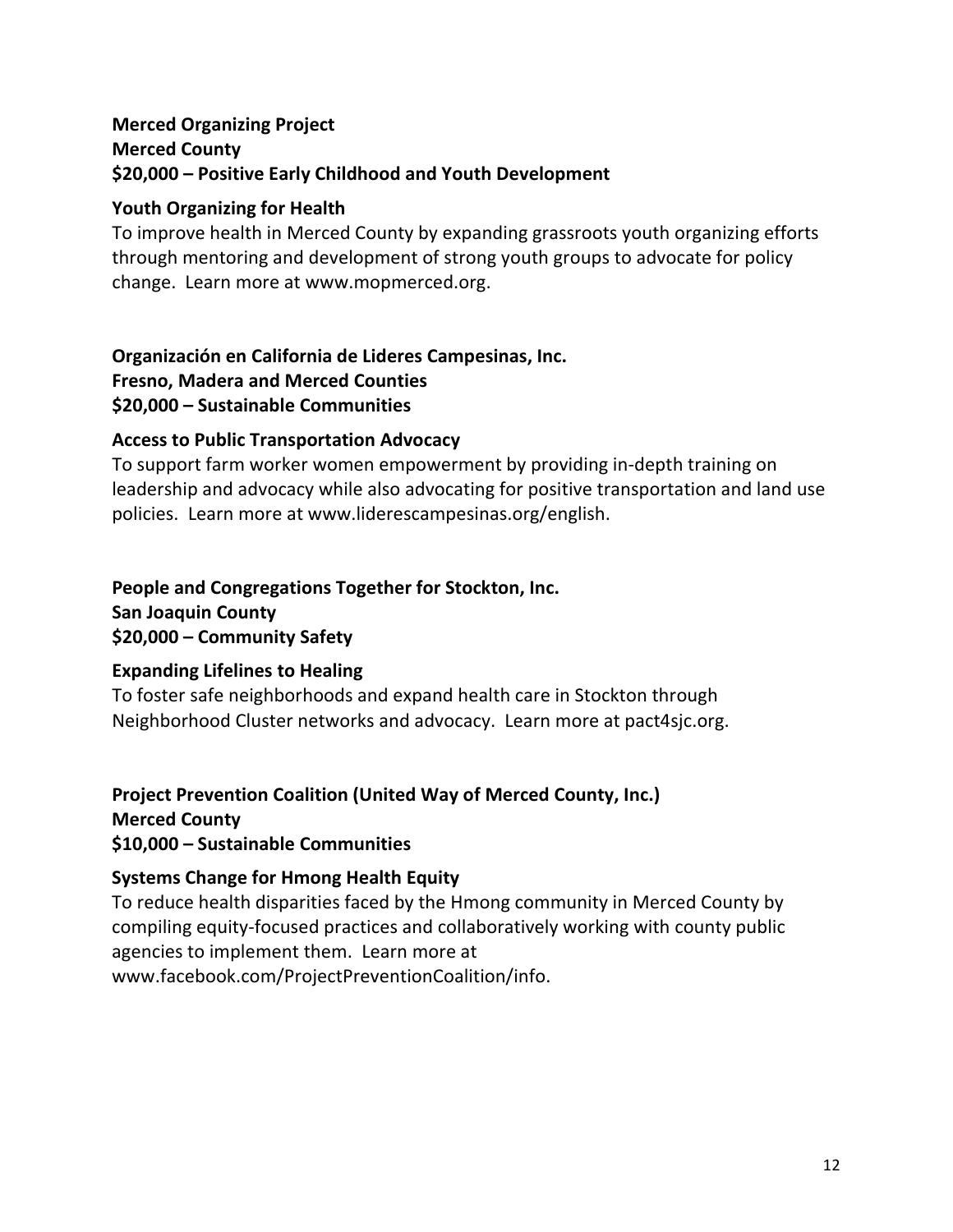## **Merced Organizing Project Merced County \$20,000 – Positive Early Childhood and Youth Development**

## **Youth Organizing for Health**

To improve health in Merced County by expanding grassroots youth organizing efforts through mentoring and development of strong youth groups to advocate for policy change. Learn more at www.mopmerced.org.

#### **Organización en California de Lideres Campesinas, Inc. Fresno, Madera and Merced Counties \$20,000 – Sustainable Communities**

## **Access to Public Transportation Advocacy**

To support farm worker women empowerment by providing in-depth training on leadership and advocacy while also advocating for positive transportation and land use policies. Learn more at www.liderescampesinas.org/english.

## **People and Congregations Together for Stockton, Inc.**

**San Joaquin County \$20,000 – Community Safety**

#### **Expanding Lifelines to Healing**

To foster safe neighborhoods and expand health care in Stockton through Neighborhood Cluster networks and advocacy. Learn more at pact4sjc.org.

## **Project Prevention Coalition (United Way of Merced County, Inc.)**

**Merced County**

**\$10,000 – Sustainable Communities**

## **Systems Change for Hmong Health Equity**

To reduce health disparities faced by the Hmong community in Merced County by compiling equity-focused practices and collaboratively working with county public agencies to implement them. Learn more at www.facebook.com/ProjectPreventionCoalition/info.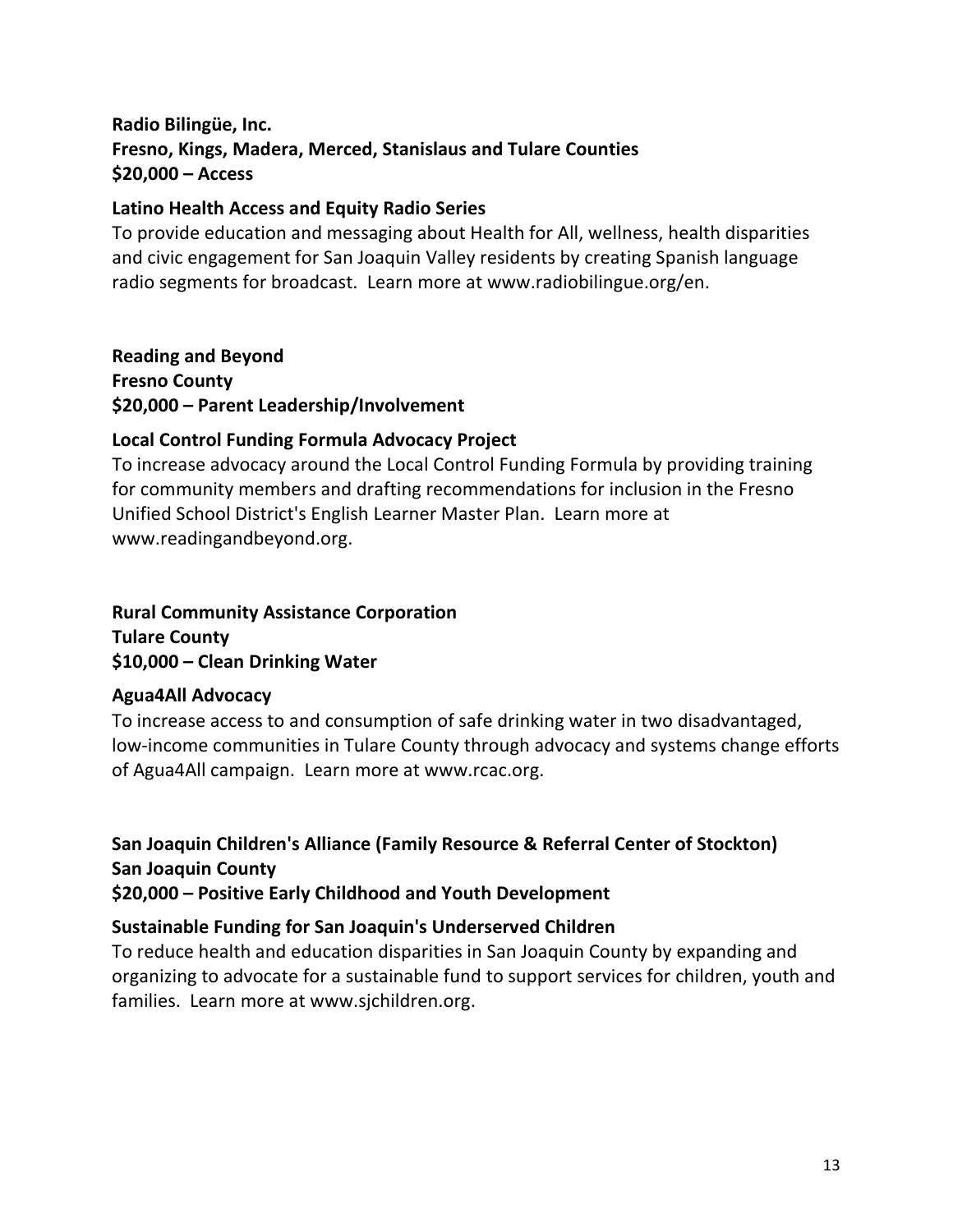## **Radio Bilingüe, Inc. Fresno, Kings, Madera, Merced, Stanislaus and Tulare Counties \$20,000 – Access**

#### **Latino Health Access and Equity Radio Series**

To provide education and messaging about Health for All, wellness, health disparities and civic engagement for San Joaquin Valley residents by creating Spanish language radio segments for broadcast. Learn more at www.radiobilingue.org/en.

**Reading and Beyond Fresno County \$20,000 – Parent Leadership/Involvement**

#### **Local Control Funding Formula Advocacy Project**

To increase advocacy around the Local Control Funding Formula by providing training for community members and drafting recommendations for inclusion in the Fresno Unified School District's English Learner Master Plan. Learn more at www.readingandbeyond.org.

## **Rural Community Assistance Corporation Tulare County \$10,000 – Clean Drinking Water**

#### **Agua4All Advocacy**

To increase access to and consumption of safe drinking water in two disadvantaged, low-income communities in Tulare County through advocacy and systems change efforts of Agua4All campaign. Learn more at www.rcac.org.

**San Joaquin Children's Alliance (Family Resource & Referral Center of Stockton) San Joaquin County \$20,000 – Positive Early Childhood and Youth Development**

#### **Sustainable Funding for San Joaquin's Underserved Children**

To reduce health and education disparities in San Joaquin County by expanding and organizing to advocate for a sustainable fund to support services for children, youth and families. Learn more at www.sjchildren.org.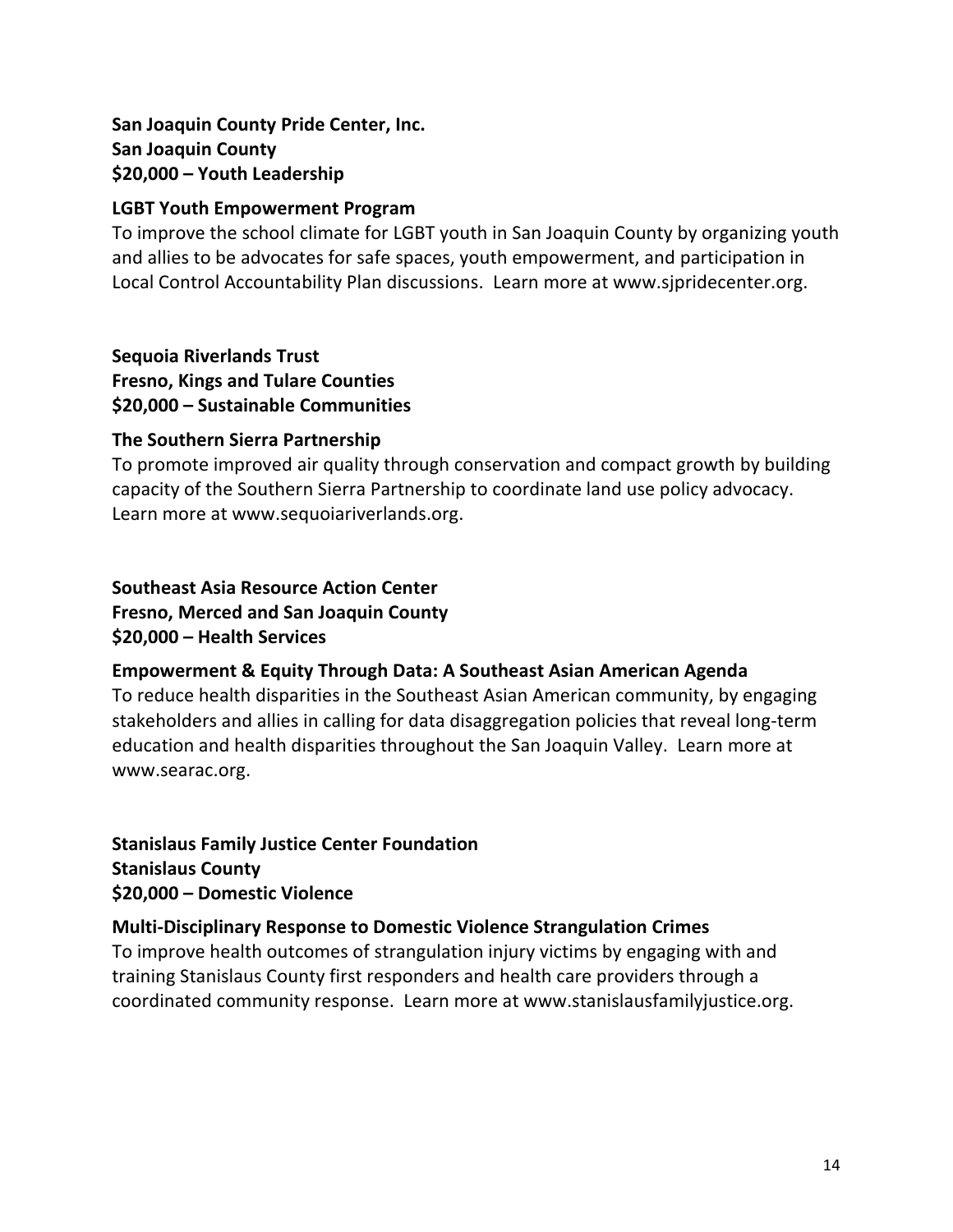## **San Joaquin County Pride Center, Inc. San Joaquin County \$20,000 – Youth Leadership**

#### **LGBT Youth Empowerment Program**

To improve the school climate for LGBT youth in San Joaquin County by organizing youth and allies to be advocates for safe spaces, youth empowerment, and participation in Local Control Accountability Plan discussions. Learn more at www.sjpridecenter.org.

#### **Sequoia Riverlands Trust**

**Fresno, Kings and Tulare Counties \$20,000 – Sustainable Communities**

#### **The Southern Sierra Partnership**

To promote improved air quality through conservation and compact growth by building capacity of the Southern Sierra Partnership to coordinate land use policy advocacy. Learn more at www.sequoiariverlands.org.

## **Southeast Asia Resource Action Center Fresno, Merced and San Joaquin County \$20,000 – Health Services**

#### **Empowerment & Equity Through Data: A Southeast Asian American Agenda**

To reduce health disparities in the Southeast Asian American community, by engaging stakeholders and allies in calling for data disaggregation policies that reveal long-term education and health disparities throughout the San Joaquin Valley. Learn more at www.searac.org.

**Stanislaus Family Justice Center Foundation Stanislaus County \$20,000 – Domestic Violence**

#### **Multi-Disciplinary Response to Domestic Violence Strangulation Crimes**

To improve health outcomes of strangulation injury victims by engaging with and training Stanislaus County first responders and health care providers through a coordinated community response. Learn more at www.stanislausfamilyjustice.org.